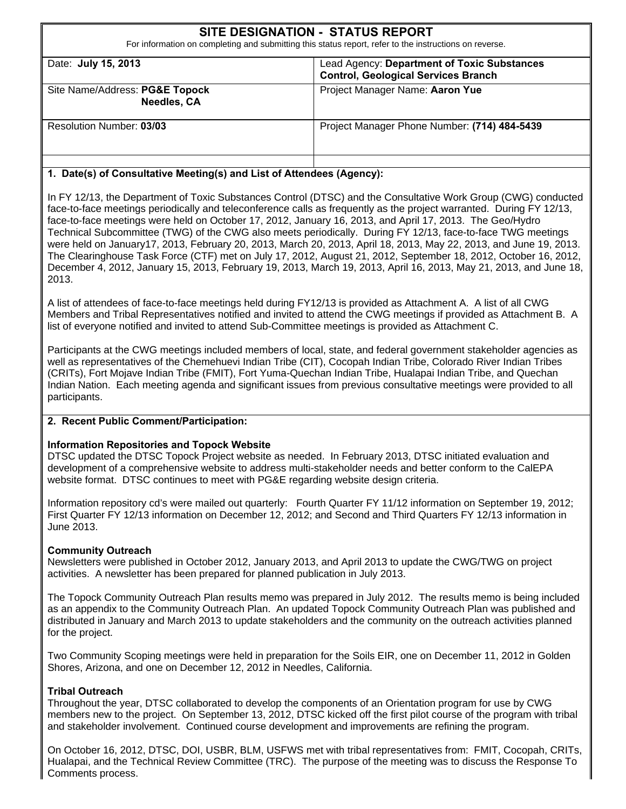|                                                                                                                           | <b>SITE DESIGNATION - STATUS REPORT</b><br>For information on completing and submitting this status report, refer to the instructions on reverse. |
|---------------------------------------------------------------------------------------------------------------------------|---------------------------------------------------------------------------------------------------------------------------------------------------|
| Date: July 15, 2013                                                                                                       | Lead Agency: Department of Toxic Substances<br><b>Control, Geological Services Branch</b>                                                         |
| Site Name/Address: PG&E Topock<br><b>Needles, CA</b>                                                                      | Project Manager Name: Aaron Yue                                                                                                                   |
| <b>Resolution Number: 03/03</b>                                                                                           | Project Manager Phone Number: (714) 484-5439                                                                                                      |
| $\mathbf{B}_{\text{old}}(k)$ of $\mathbf{A}_{\text{model}}$ is the third of a set is the following the set in $\Lambda$ . |                                                                                                                                                   |

#### **1. Date(s) of Consultative Meeting(s) and List of Attendees (Agency):**

In FY 12/13, the Department of Toxic Substances Control (DTSC) and the Consultative Work Group (CWG) conducted face-to-face meetings periodically and teleconference calls as frequently as the project warranted. During FY 12/13, face-to-face meetings were held on October 17, 2012, January 16, 2013, and April 17, 2013. The Geo/Hydro Technical Subcommittee (TWG) of the CWG also meets periodically. During FY 12/13, face-to-face TWG meetings were held on January17, 2013, February 20, 2013, March 20, 2013, April 18, 2013, May 22, 2013, and June 19, 2013. The Clearinghouse Task Force (CTF) met on July 17, 2012, August 21, 2012, September 18, 2012, October 16, 2012, December 4, 2012, January 15, 2013, February 19, 2013, March 19, 2013, April 16, 2013, May 21, 2013, and June 18, 2013.

A list of attendees of face-to-face meetings held during FY12/13 is provided as Attachment A. A list of all CWG Members and Tribal Representatives notified and invited to attend the CWG meetings if provided as Attachment B. A list of everyone notified and invited to attend Sub-Committee meetings is provided as Attachment C.

Participants at the CWG meetings included members of local, state, and federal government stakeholder agencies as well as representatives of the Chemehuevi Indian Tribe (CIT), Cocopah Indian Tribe, Colorado River Indian Tribes (CRITs), Fort Mojave Indian Tribe (FMIT), Fort Yuma-Quechan Indian Tribe, Hualapai Indian Tribe, and Quechan Indian Nation. Each meeting agenda and significant issues from previous consultative meetings were provided to all participants.

#### **2. Recent Public Comment/Participation:**

#### **Information Repositories and Topock Website**

DTSC updated the DTSC Topock Project website as needed. In February 2013, DTSC initiated evaluation and development of a comprehensive website to address multi-stakeholder needs and better conform to the CalEPA website format. DTSC continues to meet with PG&E regarding website design criteria.

Information repository cd's were mailed out quarterly: Fourth Quarter FY 11/12 information on September 19, 2012; First Quarter FY 12/13 information on December 12, 2012; and Second and Third Quarters FY 12/13 information in June 2013.

#### **Community Outreach**

Newsletters were published in October 2012, January 2013, and April 2013 to update the CWG/TWG on project activities. A newsletter has been prepared for planned publication in July 2013.

The Topock Community Outreach Plan results memo was prepared in July 2012. The results memo is being included as an appendix to the Community Outreach Plan. An updated Topock Community Outreach Plan was published and distributed in January and March 2013 to update stakeholders and the community on the outreach activities planned for the project.

Two Community Scoping meetings were held in preparation for the Soils EIR, one on December 11, 2012 in Golden Shores, Arizona, and one on December 12, 2012 in Needles, California.

#### **Tribal Outreach**

Throughout the year, DTSC collaborated to develop the components of an Orientation program for use by CWG members new to the project. On September 13, 2012, DTSC kicked off the first pilot course of the program with tribal and stakeholder involvement. Continued course development and improvements are refining the program.

On October 16, 2012, DTSC, DOI, USBR, BLM, USFWS met with tribal representatives from: FMIT, Cocopah, CRITs, Hualapai, and the Technical Review Committee (TRC). The purpose of the meeting was to discuss the Response To Comments process.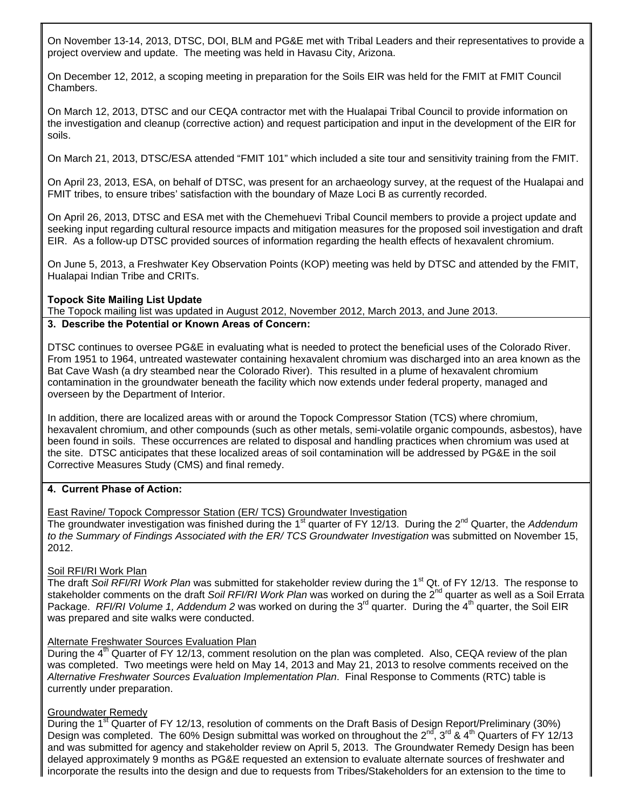On November 13-14, 2013, DTSC, DOI, BLM and PG&E met with Tribal Leaders and their representatives to provide a project overview and update. The meeting was held in Havasu City, Arizona.

On December 12, 2012, a scoping meeting in preparation for the Soils EIR was held for the FMIT at FMIT Council Chambers.

On March 12, 2013, DTSC and our CEQA contractor met with the Hualapai Tribal Council to provide information on the investigation and cleanup (corrective action) and request participation and input in the development of the EIR for soils.

On March 21, 2013, DTSC/ESA attended "FMIT 101" which included a site tour and sensitivity training from the FMIT.

On April 23, 2013, ESA, on behalf of DTSC, was present for an archaeology survey, at the request of the Hualapai and FMIT tribes, to ensure tribes' satisfaction with the boundary of Maze Loci B as currently recorded.

On April 26, 2013, DTSC and ESA met with the Chemehuevi Tribal Council members to provide a project update and seeking input regarding cultural resource impacts and mitigation measures for the proposed soil investigation and draft EIR. As a follow-up DTSC provided sources of information regarding the health effects of hexavalent chromium.

On June 5, 2013, a Freshwater Key Observation Points (KOP) meeting was held by DTSC and attended by the FMIT, Hualapai Indian Tribe and CRITs.

#### **Topock Site Mailing List Update**

The Topock mailing list was updated in August 2012, November 2012, March 2013, and June 2013. **3. Describe the Potential or Known Areas of Concern:** 

DTSC continues to oversee PG&E in evaluating what is needed to protect the beneficial uses of the Colorado River. From 1951 to 1964, untreated wastewater containing hexavalent chromium was discharged into an area known as the Bat Cave Wash (a dry steambed near the Colorado River). This resulted in a plume of hexavalent chromium contamination in the groundwater beneath the facility which now extends under federal property, managed and overseen by the Department of Interior.

In addition, there are localized areas with or around the Topock Compressor Station (TCS) where chromium, hexavalent chromium, and other compounds (such as other metals, semi-volatile organic compounds, asbestos), have been found in soils. These occurrences are related to disposal and handling practices when chromium was used at the site. DTSC anticipates that these localized areas of soil contamination will be addressed by PG&E in the soil Corrective Measures Study (CMS) and final remedy.

#### **4. Current Phase of Action:**

East Ravine/ Topock Compressor Station (ER/ TCS) Groundwater Investigation

The groundwater investigation was finished during the 1<sup>st</sup> quarter of FY 12/13. During the 2<sup>nd</sup> Quarter, the Addendum *to the Summary of Findings Associated with the ER/ TCS Groundwater Investigation* was submitted on November 15, 2012.

#### Soil RFI/RI Work Plan

The draft Soil RFI/RI Work Plan was submitted for stakeholder review during the 1<sup>st</sup> Qt. of FY 12/13. The response to stakeholder comments on the draft Soil RFI/RI Work Plan was worked on during the 2<sup>nd</sup> quarter as well as a Soil Errata Package. *RFI/RI Volume 1, Addendum 2* was worked on during the 3<sup>rd</sup> quarter. During the 4<sup>th</sup> quarter, the Soil EIR was prepared and site walks were conducted.

#### Alternate Freshwater Sources Evaluation Plan

During the  $4<sup>th</sup>$  Quarter of FY 12/13, comment resolution on the plan was completed. Also, CEQA review of the plan was completed. Two meetings were held on May 14, 2013 and May 21, 2013 to resolve comments received on the *Alternative Freshwater Sources Evaluation Implementation Plan*. Final Response to Comments (RTC) table is currently under preparation.

#### Groundwater Remedy

During the 1<sup>st</sup> Quarter of FY 12/13, resolution of comments on the Draft Basis of Design Report/Preliminary (30%) Design was completed. The 60% Design submittal was worked on throughout the  $2^{nd}$ ,  $3^{rd}$  &  $4^{th}$  Quarters of FY 12/13 and was submitted for agency and stakeholder review on April 5, 2013. The Groundwater Remedy Design has been delayed approximately 9 months as PG&E requested an extension to evaluate alternate sources of freshwater and incorporate the results into the design and due to requests from Tribes/Stakeholders for an extension to the time to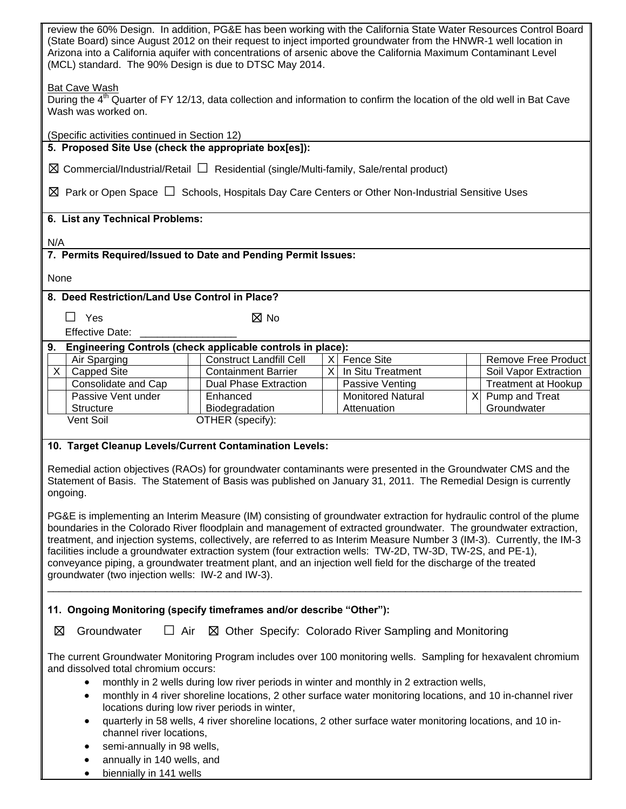| review the 60% Design. In addition, PG&E has been working with the California State Water Resources Control Board<br>(State Board) since August 2012 on their request to inject imported groundwater from the HNWR-1 well location in<br>Arizona into a California aquifer with concentrations of arsenic above the California Maximum Contaminant Level<br>(MCL) standard. The 90% Design is due to DTSC May 2014.                                                                                                                                                                                                                                      |                                                                                                            |                                         |  |  |                                   |  |
|----------------------------------------------------------------------------------------------------------------------------------------------------------------------------------------------------------------------------------------------------------------------------------------------------------------------------------------------------------------------------------------------------------------------------------------------------------------------------------------------------------------------------------------------------------------------------------------------------------------------------------------------------------|------------------------------------------------------------------------------------------------------------|-----------------------------------------|--|--|-----------------------------------|--|
| <b>Bat Cave Wash</b><br>During the 4 <sup>th</sup> Quarter of FY 12/13, data collection and information to confirm the location of the old well in Bat Cave<br>Wash was worked on.                                                                                                                                                                                                                                                                                                                                                                                                                                                                       |                                                                                                            |                                         |  |  |                                   |  |
| (Specific activities continued in Section 12)                                                                                                                                                                                                                                                                                                                                                                                                                                                                                                                                                                                                            |                                                                                                            |                                         |  |  |                                   |  |
| 5. Proposed Site Use (check the appropriate box[es]):                                                                                                                                                                                                                                                                                                                                                                                                                                                                                                                                                                                                    |                                                                                                            |                                         |  |  |                                   |  |
| $\boxtimes$ Commercial/Industrial/Retail $\Box$ Residential (single/Multi-family, Sale/rental product)                                                                                                                                                                                                                                                                                                                                                                                                                                                                                                                                                   |                                                                                                            |                                         |  |  |                                   |  |
| $\boxtimes$ Park or Open Space $\Box$ Schools, Hospitals Day Care Centers or Other Non-Industrial Sensitive Uses                                                                                                                                                                                                                                                                                                                                                                                                                                                                                                                                         |                                                                                                            |                                         |  |  |                                   |  |
| 6. List any Technical Problems:                                                                                                                                                                                                                                                                                                                                                                                                                                                                                                                                                                                                                          |                                                                                                            |                                         |  |  |                                   |  |
| N/A                                                                                                                                                                                                                                                                                                                                                                                                                                                                                                                                                                                                                                                      |                                                                                                            |                                         |  |  |                                   |  |
| 7. Permits Required/Issued to Date and Pending Permit Issues:                                                                                                                                                                                                                                                                                                                                                                                                                                                                                                                                                                                            |                                                                                                            |                                         |  |  |                                   |  |
| None                                                                                                                                                                                                                                                                                                                                                                                                                                                                                                                                                                                                                                                     |                                                                                                            |                                         |  |  |                                   |  |
| 8. Deed Restriction/Land Use Control in Place?                                                                                                                                                                                                                                                                                                                                                                                                                                                                                                                                                                                                           |                                                                                                            |                                         |  |  |                                   |  |
| Yes<br>$\perp$                                                                                                                                                                                                                                                                                                                                                                                                                                                                                                                                                                                                                                           | $\boxtimes$ No                                                                                             |                                         |  |  |                                   |  |
| <b>Effective Date:</b>                                                                                                                                                                                                                                                                                                                                                                                                                                                                                                                                                                                                                                   |                                                                                                            |                                         |  |  |                                   |  |
| 9. Engineering Controls (check applicable controls in place):                                                                                                                                                                                                                                                                                                                                                                                                                                                                                                                                                                                            |                                                                                                            |                                         |  |  |                                   |  |
| Air Sparging                                                                                                                                                                                                                                                                                                                                                                                                                                                                                                                                                                                                                                             | <b>Construct Landfill Cell</b>                                                                             | <b>Fence Site</b><br>$\times$           |  |  | <b>Remove Free Product</b>        |  |
| <b>Capped Site</b><br>$\times$                                                                                                                                                                                                                                                                                                                                                                                                                                                                                                                                                                                                                           | <b>Containment Barrier</b>                                                                                 | $\times$<br>In Situ Treatment           |  |  | Soil Vapor Extraction             |  |
| Consolidate and Cap                                                                                                                                                                                                                                                                                                                                                                                                                                                                                                                                                                                                                                      | <b>Dual Phase Extraction</b>                                                                               | Passive Venting                         |  |  | <b>Treatment at Hookup</b>        |  |
| Passive Vent under<br><b>Structure</b>                                                                                                                                                                                                                                                                                                                                                                                                                                                                                                                                                                                                                   | Enhanced<br>Biodegradation                                                                                 | <b>Monitored Natural</b><br>Attenuation |  |  | $X$ Pump and Treat<br>Groundwater |  |
| Vent Soil                                                                                                                                                                                                                                                                                                                                                                                                                                                                                                                                                                                                                                                | OTHER (specify):                                                                                           |                                         |  |  |                                   |  |
|                                                                                                                                                                                                                                                                                                                                                                                                                                                                                                                                                                                                                                                          |                                                                                                            |                                         |  |  |                                   |  |
| 10. Target Cleanup Levels/Current Contamination Levels:                                                                                                                                                                                                                                                                                                                                                                                                                                                                                                                                                                                                  |                                                                                                            |                                         |  |  |                                   |  |
| Remedial action objectives (RAOs) for groundwater contaminants were presented in the Groundwater CMS and the<br>Statement of Basis. The Statement of Basis was published on January 31, 2011. The Remedial Design is currently<br>ongoing.                                                                                                                                                                                                                                                                                                                                                                                                               |                                                                                                            |                                         |  |  |                                   |  |
| PG&E is implementing an Interim Measure (IM) consisting of groundwater extraction for hydraulic control of the plume<br>boundaries in the Colorado River floodplain and management of extracted groundwater. The groundwater extraction,<br>treatment, and injection systems, collectively, are referred to as Interim Measure Number 3 (IM-3). Currently, the IM-3<br>facilities include a groundwater extraction system (four extraction wells: TW-2D, TW-3D, TW-2S, and PE-1),<br>conveyance piping, a groundwater treatment plant, and an injection well field for the discharge of the treated<br>groundwater (two injection wells: IW-2 and IW-3). |                                                                                                            |                                         |  |  |                                   |  |
| 11. Ongoing Monitoring (specify timeframes and/or describe "Other"):                                                                                                                                                                                                                                                                                                                                                                                                                                                                                                                                                                                     |                                                                                                            |                                         |  |  |                                   |  |
| ⊠<br>Groundwater<br>$\Box$ Air                                                                                                                                                                                                                                                                                                                                                                                                                                                                                                                                                                                                                           | ⊠ Other Specify: Colorado River Sampling and Monitoring                                                    |                                         |  |  |                                   |  |
| The current Groundwater Monitoring Program includes over 100 monitoring wells. Sampling for hexavalent chromium<br>and dissolved total chromium occurs:                                                                                                                                                                                                                                                                                                                                                                                                                                                                                                  |                                                                                                            |                                         |  |  |                                   |  |
| monthly in 2 wells during low river periods in winter and monthly in 2 extraction wells,                                                                                                                                                                                                                                                                                                                                                                                                                                                                                                                                                                 |                                                                                                            |                                         |  |  |                                   |  |
| monthly in 4 river shoreline locations, 2 other surface water monitoring locations, and 10 in-channel river<br>$\bullet$<br>locations during low river periods in winter,                                                                                                                                                                                                                                                                                                                                                                                                                                                                                |                                                                                                            |                                         |  |  |                                   |  |
| channel river locations,                                                                                                                                                                                                                                                                                                                                                                                                                                                                                                                                                                                                                                 | quarterly in 58 wells, 4 river shoreline locations, 2 other surface water monitoring locations, and 10 in- |                                         |  |  |                                   |  |
| semi-annually in 98 wells,                                                                                                                                                                                                                                                                                                                                                                                                                                                                                                                                                                                                                               |                                                                                                            |                                         |  |  |                                   |  |
| annually in 140 wells, and                                                                                                                                                                                                                                                                                                                                                                                                                                                                                                                                                                                                                               |                                                                                                            |                                         |  |  |                                   |  |
| biennially in 141 wells                                                                                                                                                                                                                                                                                                                                                                                                                                                                                                                                                                                                                                  |                                                                                                            |                                         |  |  |                                   |  |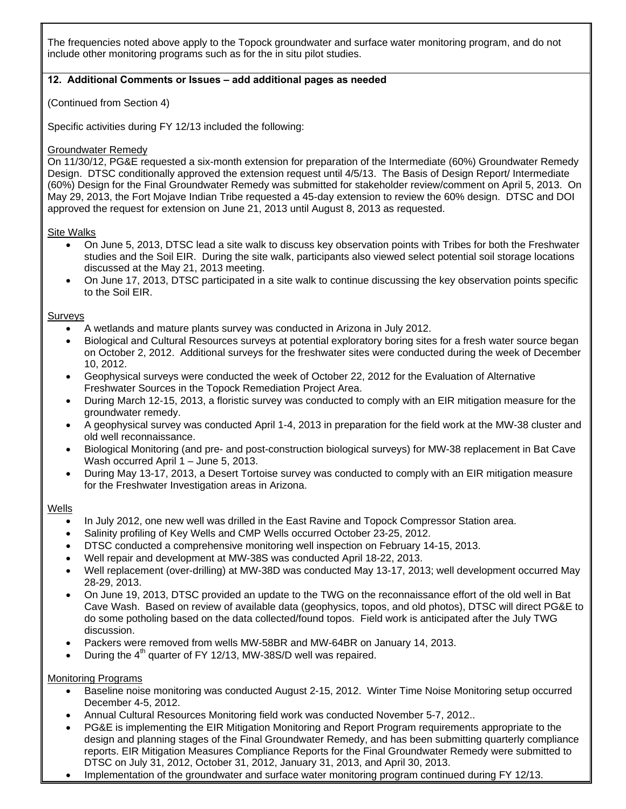The frequencies noted above apply to the Topock groundwater and surface water monitoring program, and do not include other monitoring programs such as for the in situ pilot studies.

### **12. Additional Comments or Issues – add additional pages as needed**

(Continued from Section 4)

Specific activities during FY 12/13 included the following:

#### Groundwater Remedy

On 11/30/12, PG&E requested a six-month extension for preparation of the Intermediate (60%) Groundwater Remedy Design. DTSC conditionally approved the extension request until 4/5/13. The Basis of Design Report/ Intermediate (60%) Design for the Final Groundwater Remedy was submitted for stakeholder review/comment on April 5, 2013. On May 29, 2013, the Fort Mojave Indian Tribe requested a 45-day extension to review the 60% design. DTSC and DOI approved the request for extension on June 21, 2013 until August 8, 2013 as requested.

#### Site Walks

- On June 5, 2013, DTSC lead a site walk to discuss key observation points with Tribes for both the Freshwater studies and the Soil EIR. During the site walk, participants also viewed select potential soil storage locations discussed at the May 21, 2013 meeting.
- On June 17, 2013, DTSC participated in a site walk to continue discussing the key observation points specific to the Soil EIR.

#### Surveys

- A wetlands and mature plants survey was conducted in Arizona in July 2012.
- Biological and Cultural Resources surveys at potential exploratory boring sites for a fresh water source began on October 2, 2012. Additional surveys for the freshwater sites were conducted during the week of December 10, 2012.
- Geophysical surveys were conducted the week of October 22, 2012 for the Evaluation of Alternative Freshwater Sources in the Topock Remediation Project Area.
- During March 12-15, 2013, a floristic survey was conducted to comply with an EIR mitigation measure for the groundwater remedy.
- A geophysical survey was conducted April 1-4, 2013 in preparation for the field work at the MW-38 cluster and old well reconnaissance.
- Biological Monitoring (and pre- and post-construction biological surveys) for MW-38 replacement in Bat Cave Wash occurred April 1 – June 5, 2013.
- During May 13-17, 2013, a Desert Tortoise survey was conducted to comply with an EIR mitigation measure for the Freshwater Investigation areas in Arizona.

#### **Wells**

- In July 2012, one new well was drilled in the East Ravine and Topock Compressor Station area.
- Salinity profiling of Key Wells and CMP Wells occurred October 23-25, 2012.
- DTSC conducted a comprehensive monitoring well inspection on February 14-15, 2013.
- Well repair and development at MW-38S was conducted April 18-22, 2013.
- Well replacement (over-drilling) at MW-38D was conducted May 13-17, 2013; well development occurred May 28-29, 2013.
- On June 19, 2013, DTSC provided an update to the TWG on the reconnaissance effort of the old well in Bat Cave Wash. Based on review of available data (geophysics, topos, and old photos), DTSC will direct PG&E to do some potholing based on the data collected/found topos. Field work is anticipated after the July TWG discussion.
- Packers were removed from wells MW-58BR and MW-64BR on January 14, 2013.
- During the  $4<sup>th</sup>$  quarter of FY 12/13, MW-38S/D well was repaired.

#### Monitoring Programs

- Baseline noise monitoring was conducted August 2-15, 2012. Winter Time Noise Monitoring setup occurred December 4-5, 2012.
- Annual Cultural Resources Monitoring field work was conducted November 5-7, 2012..
- PG&E is implementing the EIR Mitigation Monitoring and Report Program requirements appropriate to the design and planning stages of the Final Groundwater Remedy, and has been submitting quarterly compliance reports. EIR Mitigation Measures Compliance Reports for the Final Groundwater Remedy were submitted to DTSC on July 31, 2012, October 31, 2012, January 31, 2013, and April 30, 2013.
- Implementation of the groundwater and surface water monitoring program continued during FY 12/13.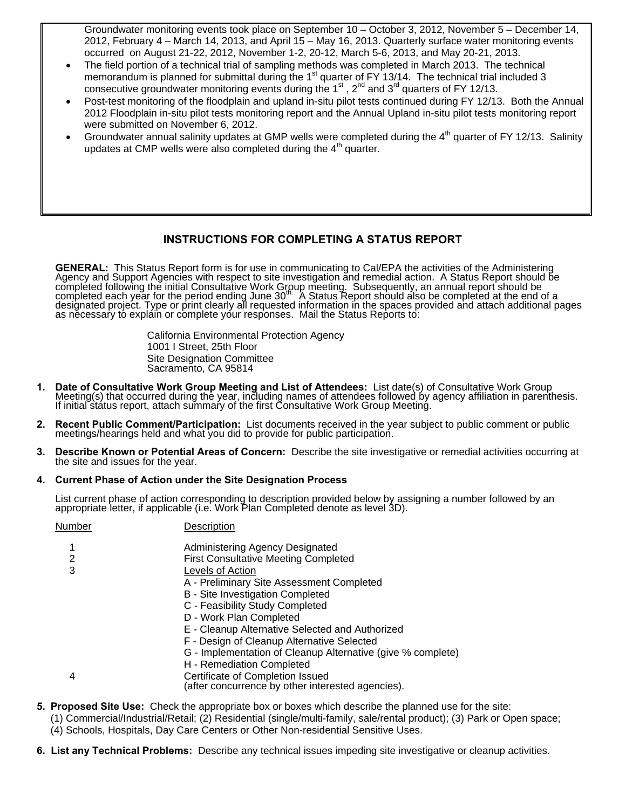Groundwater monitoring events took place on September 10 – October 3, 2012, November 5 – December 14, 2012, February 4 – March 14, 2013, and April 15 – May 16, 2013. Quarterly surface water monitoring events occurred on August 21-22, 2012, November 1-2, 20-12, March 5-6, 2013, and May 20-21, 2013.

- The field portion of a technical trial of sampling methods was completed in March 2013. The technical memorandum is planned for submittal during the  $1<sup>st</sup>$  quarter of FY 13/14. The technical trial included 3 consecutive groundwater monitoring events during the  $1<sup>st</sup>$ ,  $2<sup>nd</sup>$  and  $3<sup>rd</sup>$  quarters of FY 12/13.
- Post-test monitoring of the floodplain and upland in-situ pilot tests continued during FY 12/13. Both the Annual 2012 Floodplain in-situ pilot tests monitoring report and the Annual Upland in-situ pilot tests monitoring report were submitted on November 6, 2012.
- Groundwater annual salinity updates at GMP wells were completed during the 4<sup>th</sup> quarter of FY 12/13. Salinity updates at CMP wells were also completed during the  $4<sup>th</sup>$  quarter.

#### **INSTRUCTIONS FOR COMPLETING A STATUS REPORT**

**GENERAL:** This Status Report form is for use in communicating to Cal/EPA the activities of the Administering Agency and Support Agencies with respect to site investigation and remedial action. A Status Report should be co

California Environmental Protection Agency 1001 I Street, 25th Floor Site Designation Committee Sacramento, CA 95814

- 1. Date of Consultative Work Group Meeting and List of Attendees: List date(s) of Consultative Work Group<br>Meeting(s) that occurred during the year, including names of attendees followed by agency affiliation in parenthesis
- **2. Recent Public Comment/Participation:** List documents received in the year subject to public comment or public meetings/hearings held and what you did to provide for public participation.
- **3. Describe Known or Potential Areas of Concern:** Describe the site investigative or remedial activities occurring at the site and issues for the year.

#### **4. Current Phase of Action under the Site Designation Process**

List current phase of action corresponding to description provided below by assigning a number followed by an appropriate letter, if applicable (i.e. Work Plan Completed denote as level 3D).

| Number | Description                                                                           |
|--------|---------------------------------------------------------------------------------------|
|        | Administering Agency Designated                                                       |
| 2      | <b>First Consultative Meeting Completed</b>                                           |
| 3      | Levels of Action                                                                      |
|        | A - Preliminary Site Assessment Completed                                             |
|        | B - Site Investigation Completed                                                      |
|        | C - Feasibility Study Completed                                                       |
|        | D - Work Plan Completed                                                               |
|        | E - Cleanup Alternative Selected and Authorized                                       |
|        | F - Design of Cleanup Alternative Selected                                            |
|        | G - Implementation of Cleanup Alternative (give % complete)                           |
|        | H - Remediation Completed                                                             |
| 4      | Certificate of Completion Issued<br>(after concurrence by other interested agencies). |
|        |                                                                                       |

- **5. Proposed Site Use:** Check the appropriate box or boxes which describe the planned use for the site:
- (1) Commercial/Industrial/Retail; (2) Residential (single/multi-family, sale/rental product); (3) Park or Open space;
	- (4) Schools, Hospitals, Day Care Centers or Other Non-residential Sensitive Uses.
- **6. List any Technical Problems:** Describe any technical issues impeding site investigative or cleanup activities.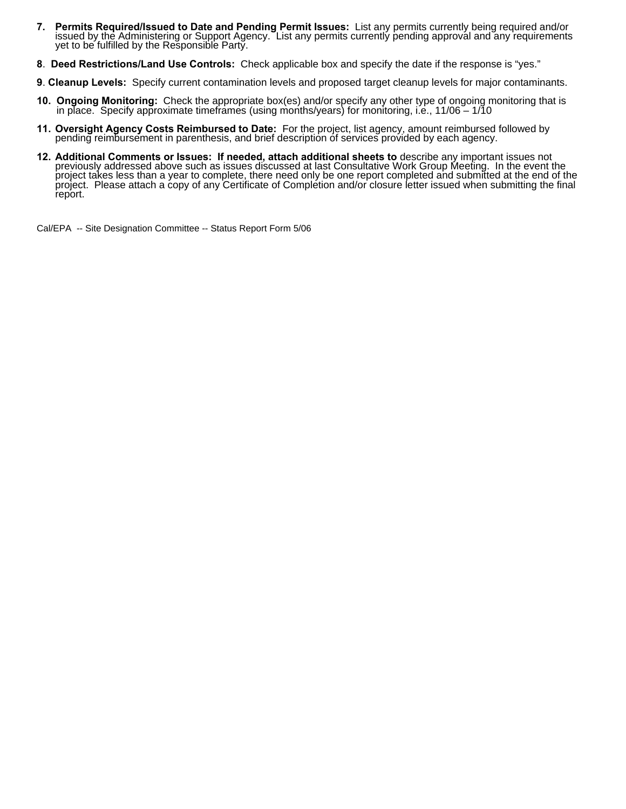- 7. Permits Required/Issued to Date and Pending Permit Issues: List any permits currently being required and/or issued by the Administering or Support Agency. List any permits currently pending approval and any requirements
- **8**. **Deed Restrictions/Land Use Controls:** Check applicable box and specify the date if the response is "yes."
- **9**. **Cleanup Levels:** Specify current contamination levels and proposed target cleanup levels for major contaminants.
- **10. Ongoing Monitoring:** Check the appropriate box(es) and/or specify any other type of ongoing monitoring that is in place. Specify approximate timeframes (using months/years) for monitoring, i.e., 11/06 1/10
- **11. Oversight Agency Costs Reimbursed to Date:** For the project, list agency, amount reimbursed followed by pending reimbursement in parenthesis, and brief description of services provided by each agency.
- 12. Additional Comments or Issues: If needed, attach additional sheets to describe any important issues not<br>previously addressed above such as issues discussed at last Consultative Work Group Meeting. In the event the<br>proj report.

Cal/EPA -- Site Designation Committee -- Status Report Form 5/06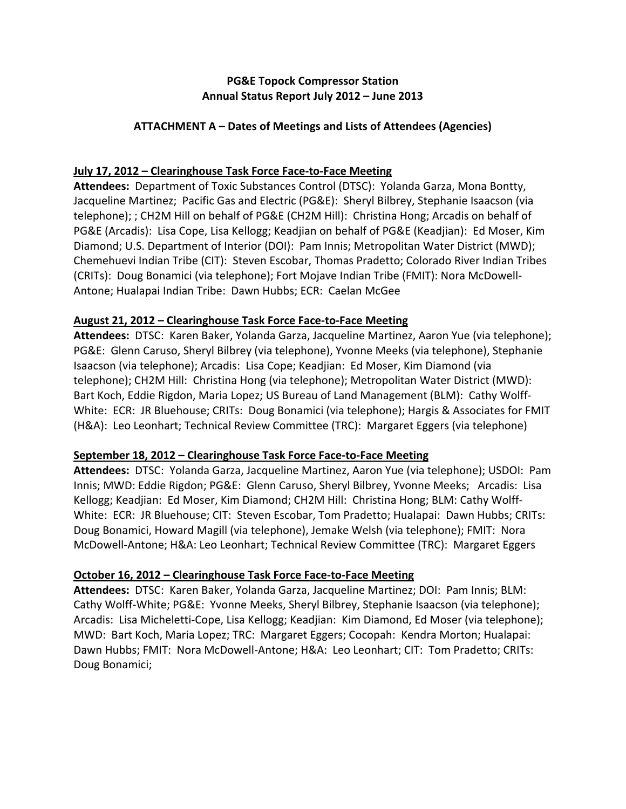# **PG&E Topock Compressor Station Annual Status Report July 2012 – June 2013**

# **ATTACHMENT A – Dates of Meetings and Lists of Attendees (Agencies)**

# **July 17, 2012 – Clearinghouse Task Force Face‐to‐Face Meeting**

Attendees: Department of Toxic Substances Control (DTSC): Yolanda Garza, Mona Bontty, Jacqueline Martinez; Pacific Gas and Electric (PG&E): Sheryl Bilbrey, Stephanie Isaacson (via telephone); ; CH2M Hill on behalf of PG&E (CH2M Hill): Christina Hong; Arcadis on behalf of PG&E (Arcadis): Lisa Cope, Lisa Kellogg; Keadjian on behalf of PG&E (Keadjian): Ed Moser, Kim Diamond; U.S. Department of Interior (DOI): Pam Innis; Metropolitan Water District (MWD); Chemehuevi Indian Tribe (CIT): Steven Escobar, Thomas Pradetto; Colorado River Indian Tribes (CRITs): Doug Bonamici (via telephone); Fort Mojave Indian Tribe (FMIT): Nora McDowell‐ Antone; Hualapai Indian Tribe: Dawn Hubbs; ECR: Caelan McGee

# **August 21, 2012 – Clearinghouse Task Force Face‐to‐Face Meeting**

**Attendees:** DTSC: Karen Baker, Yolanda Garza, Jacqueline Martinez, Aaron Yue (via telephone); PG&E: Glenn Caruso, Sheryl Bilbrey (via telephone), Yvonne Meeks (via telephone), Stephanie Isaacson (via telephone); Arcadis: Lisa Cope; Keadjian: Ed Moser, Kim Diamond (via telephone); CH2M Hill: Christina Hong (via telephone); Metropolitan Water District (MWD): Bart Koch, Eddie Rigdon, Maria Lopez; US Bureau of Land Management (BLM): Cathy Wolff‐ White: ECR: JR Bluehouse; CRITs: Doug Bonamici (via telephone); Hargis & Associates for FMIT (H&A): Leo Leonhart; Technical Review Committee (TRC): Margaret Eggers (via telephone)

# **September 18, 2012 – Clearinghouse Task Force Face‐to‐Face Meeting**

**Attendees:** DTSC: Yolanda Garza, Jacqueline Martinez, Aaron Yue (via telephone); USDOI: Pam Innis; MWD: Eddie Rigdon; PG&E: Glenn Caruso, Sheryl Bilbrey, Yvonne Meeks; Arcadis: Lisa Kellogg; Keadjian: Ed Moser, Kim Diamond; CH2M Hill: Christina Hong; BLM: Cathy Wolff‐ White: ECR: JR Bluehouse; CIT: Steven Escobar, Tom Pradetto; Hualapai: Dawn Hubbs; CRITs: Doug Bonamici, Howard Magill (via telephone), Jemake Welsh (via telephone); FMIT: Nora McDowell‐Antone; H&A: Leo Leonhart; Technical Review Committee (TRC): Margaret Eggers

# **October 16, 2012 – Clearinghouse Task Force Face‐to‐Face Meeting**

**Attendees:** DTSC: Karen Baker, Yolanda Garza, Jacqueline Martinez; DOI: Pam Innis; BLM: Cathy Wolff‐White; PG&E: Yvonne Meeks, Sheryl Bilbrey, Stephanie Isaacson (via telephone); Arcadis: Lisa Micheletti‐Cope, Lisa Kellogg; Keadjian: Kim Diamond, Ed Moser (via telephone); MWD: Bart Koch, Maria Lopez; TRC: Margaret Eggers; Cocopah: Kendra Morton; Hualapai: Dawn Hubbs; FMIT: Nora McDowell‐Antone; H&A: Leo Leonhart; CIT: Tom Pradetto; CRITs: Doug Bonamici;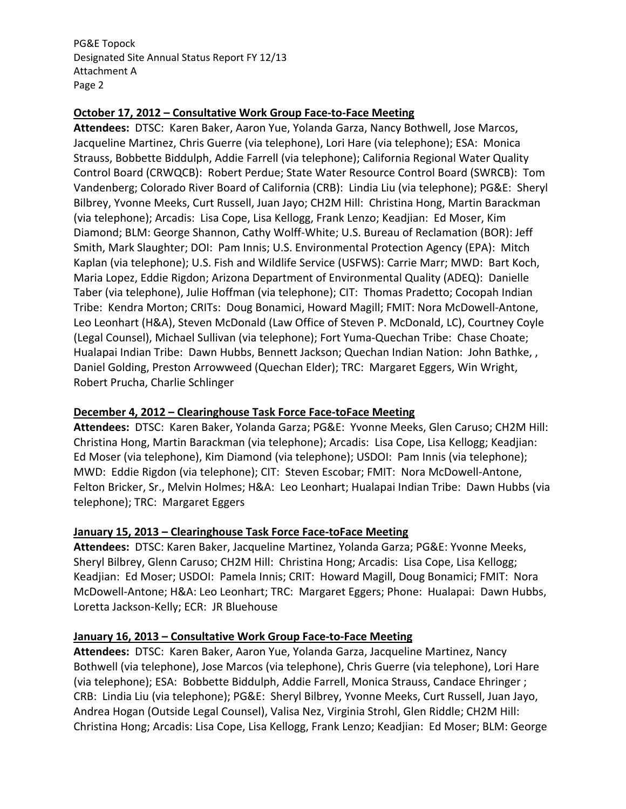### **October 17, 2012 – Consultative Work Group Face‐to‐Face Meeting**

Attendees: DTSC: Karen Baker, Aaron Yue, Yolanda Garza, Nancy Bothwell, Jose Marcos, Jacqueline Martinez, Chris Guerre (via telephone), Lori Hare (via telephone); ESA: Monica Strauss, Bobbette Biddulph, Addie Farrell (via telephone); California Regional Water Quality Control Board (CRWQCB): Robert Perdue; State Water Resource Control Board (SWRCB): Tom Vandenberg; Colorado River Board of California (CRB): Lindia Liu (via telephone); PG&E: Sheryl Bilbrey, Yvonne Meeks, Curt Russell, Juan Jayo; CH2M Hill: Christina Hong, Martin Barackman (via telephone); Arcadis: Lisa Cope, Lisa Kellogg, Frank Lenzo; Keadjian: Ed Moser, Kim Diamond; BLM: George Shannon, Cathy Wolff‐White; U.S. Bureau of Reclamation (BOR): Jeff Smith, Mark Slaughter; DOI: Pam Innis; U.S. Environmental Protection Agency (EPA): Mitch Kaplan (via telephone); U.S. Fish and Wildlife Service (USFWS): Carrie Marr; MWD: Bart Koch, Maria Lopez, Eddie Rigdon; Arizona Department of Environmental Quality (ADEQ): Danielle Taber (via telephone), Julie Hoffman (via telephone); CIT: Thomas Pradetto; Cocopah Indian Tribe: Kendra Morton; CRITs: Doug Bonamici, Howard Magill; FMIT: Nora McDowell‐Antone, Leo Leonhart (H&A), Steven McDonald (Law Office of Steven P. McDonald, LC), Courtney Coyle (Legal Counsel), Michael Sullivan (via telephone); Fort Yuma‐Quechan Tribe: Chase Choate; Hualapai Indian Tribe: Dawn Hubbs, Bennett Jackson; Quechan Indian Nation: John Bathke, , Daniel Golding, Preston Arrowweed (Quechan Elder); TRC: Margaret Eggers, Win Wright, Robert Prucha, Charlie Schlinger

# **December 4, 2012 – Clearinghouse Task Force Face‐toFace Meeting**

**Attendees:** DTSC: Karen Baker, Yolanda Garza; PG&E: Yvonne Meeks, Glen Caruso; CH2M Hill: Christina Hong, Martin Barackman (via telephone); Arcadis: Lisa Cope, Lisa Kellogg; Keadjian: Ed Moser (via telephone), Kim Diamond (via telephone); USDOI: Pam Innis (via telephone); MWD: Eddie Rigdon (via telephone); CIT: Steven Escobar; FMIT: Nora McDowell‐Antone, Felton Bricker, Sr., Melvin Holmes; H&A: Leo Leonhart; Hualapai Indian Tribe: Dawn Hubbs (via telephone); TRC: Margaret Eggers

#### **January 15, 2013 – Clearinghouse Task Force Face‐toFace Meeting**

**Attendees:** DTSC: Karen Baker, Jacqueline Martinez, Yolanda Garza; PG&E: Yvonne Meeks, Sheryl Bilbrey, Glenn Caruso; CH2M Hill: Christina Hong; Arcadis: Lisa Cope, Lisa Kellogg; Keadjian: Ed Moser; USDOI: Pamela Innis; CRIT: Howard Magill, Doug Bonamici; FMIT: Nora McDowell‐Antone; H&A: Leo Leonhart; TRC: Margaret Eggers; Phone: Hualapai: Dawn Hubbs, Loretta Jackson‐Kelly; ECR: JR Bluehouse

# **January 16, 2013 – Consultative Work Group Face‐to‐Face Meeting**

Attendees: DTSC: Karen Baker, Aaron Yue, Yolanda Garza, Jacqueline Martinez, Nancy Bothwell (via telephone), Jose Marcos (via telephone), Chris Guerre (via telephone), Lori Hare (via telephone); ESA: Bobbette Biddulph, Addie Farrell, Monica Strauss, Candace Ehringer ; CRB: Lindia Liu (via telephone); PG&E: Sheryl Bilbrey, Yvonne Meeks, Curt Russell, Juan Jayo, Andrea Hogan (Outside Legal Counsel), Valisa Nez, Virginia Strohl, Glen Riddle; CH2M Hill: Christina Hong; Arcadis: Lisa Cope, Lisa Kellogg, Frank Lenzo; Keadjian: Ed Moser; BLM: George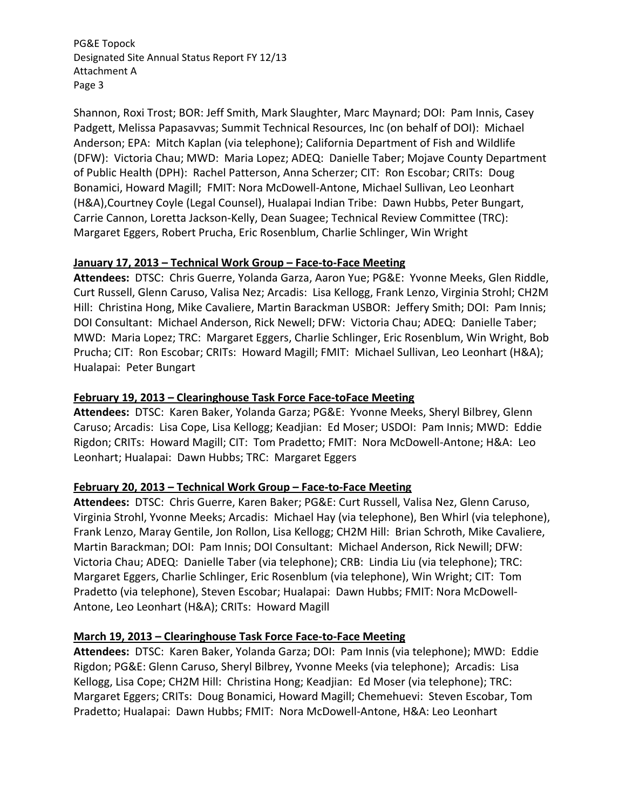Shannon, Roxi Trost; BOR: Jeff Smith, Mark Slaughter, Marc Maynard; DOI: Pam Innis, Casey Padgett, Melissa Papasavvas; Summit Technical Resources, Inc (on behalf of DOI): Michael Anderson; EPA: Mitch Kaplan (via telephone); California Department of Fish and Wildlife (DFW): Victoria Chau; MWD: Maria Lopez; ADEQ: Danielle Taber; Mojave County Department of Public Health (DPH): Rachel Patterson, Anna Scherzer; CIT: Ron Escobar; CRITs: Doug Bonamici, Howard Magill; FMIT: Nora McDowell‐Antone, Michael Sullivan, Leo Leonhart (H&A),Courtney Coyle (Legal Counsel), Hualapai Indian Tribe: Dawn Hubbs, Peter Bungart, Carrie Cannon, Loretta Jackson‐Kelly, Dean Suagee; Technical Review Committee (TRC): Margaret Eggers, Robert Prucha, Eric Rosenblum, Charlie Schlinger, Win Wright

## **January 17, 2013 – Technical Work Group – Face‐to‐Face Meeting**

**Attendees:** DTSC: Chris Guerre, Yolanda Garza, Aaron Yue; PG&E: Yvonne Meeks, Glen Riddle, Curt Russell, Glenn Caruso, Valisa Nez; Arcadis: Lisa Kellogg, Frank Lenzo, Virginia Strohl; CH2M Hill: Christina Hong, Mike Cavaliere, Martin Barackman USBOR: Jeffery Smith; DOI: Pam Innis; DOI Consultant: Michael Anderson, Rick Newell; DFW: Victoria Chau; ADEQ: Danielle Taber; MWD: Maria Lopez; TRC: Margaret Eggers, Charlie Schlinger, Eric Rosenblum, Win Wright, Bob Prucha; CIT: Ron Escobar; CRITs: Howard Magill; FMIT: Michael Sullivan, Leo Leonhart (H&A); Hualapai: Peter Bungart

#### **February 19, 2013 – Clearinghouse Task Force Face‐toFace Meeting**

**Attendees:** DTSC: Karen Baker, Yolanda Garza; PG&E: Yvonne Meeks, Sheryl Bilbrey, Glenn Caruso; Arcadis: Lisa Cope, Lisa Kellogg; Keadjian: Ed Moser; USDOI: Pam Innis; MWD: Eddie Rigdon; CRITs: Howard Magill; CIT: Tom Pradetto; FMIT: Nora McDowell‐Antone; H&A: Leo Leonhart; Hualapai: Dawn Hubbs; TRC: Margaret Eggers

#### **February 20, 2013 – Technical Work Group – Face‐to‐Face Meeting**

**Attendees:** DTSC: Chris Guerre, Karen Baker; PG&E: Curt Russell, Valisa Nez, Glenn Caruso, Virginia Strohl, Yvonne Meeks; Arcadis: Michael Hay (via telephone), Ben Whirl (via telephone), Frank Lenzo, Maray Gentile, Jon Rollon, Lisa Kellogg; CH2M Hill: Brian Schroth, Mike Cavaliere, Martin Barackman; DOI: Pam Innis; DOI Consultant: Michael Anderson, Rick Newill; DFW: Victoria Chau; ADEQ: Danielle Taber (via telephone); CRB: Lindia Liu (via telephone); TRC: Margaret Eggers, Charlie Schlinger, Eric Rosenblum (via telephone), Win Wright; CIT: Tom Pradetto (via telephone), Steven Escobar; Hualapai: Dawn Hubbs; FMIT: Nora McDowell‐ Antone, Leo Leonhart (H&A); CRITs: Howard Magill

# **March 19, 2013 – Clearinghouse Task Force Face‐to‐Face Meeting**

**Attendees:** DTSC: Karen Baker, Yolanda Garza; DOI: Pam Innis (via telephone); MWD: Eddie Rigdon; PG&E: Glenn Caruso, Sheryl Bilbrey, Yvonne Meeks (via telephone); Arcadis: Lisa Kellogg, Lisa Cope; CH2M Hill: Christina Hong; Keadjian: Ed Moser (via telephone); TRC: Margaret Eggers; CRITs: Doug Bonamici, Howard Magill; Chemehuevi: Steven Escobar, Tom Pradetto; Hualapai: Dawn Hubbs; FMIT: Nora McDowell‐Antone, H&A: Leo Leonhart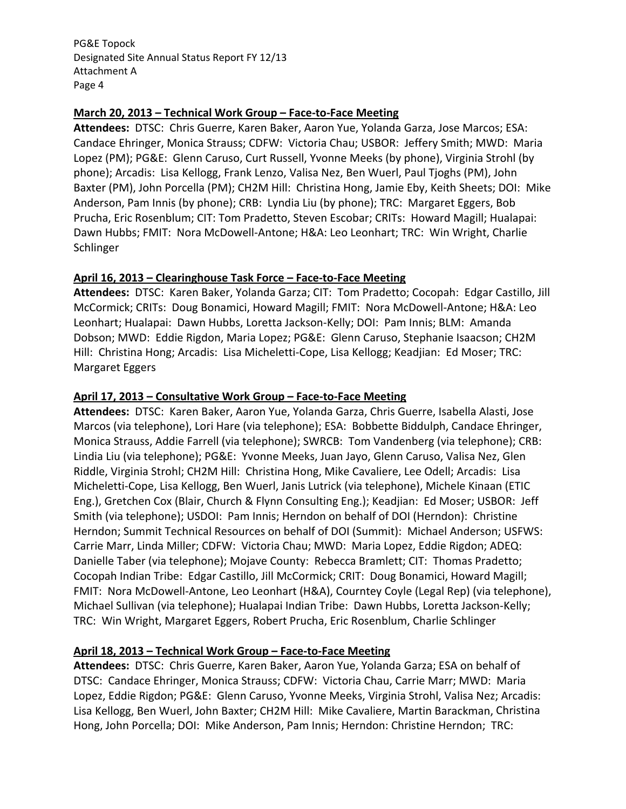### **March 20, 2013 – Technical Work Group – Face‐to‐Face Meeting**

**Attendees:** DTSC: Chris Guerre, Karen Baker, Aaron Yue, Yolanda Garza, Jose Marcos; ESA: Candace Ehringer, Monica Strauss; CDFW: Victoria Chau; USBOR: Jeffery Smith; MWD: Maria Lopez (PM); PG&E: Glenn Caruso, Curt Russell, Yvonne Meeks (by phone), Virginia Strohl (by phone); Arcadis: Lisa Kellogg, Frank Lenzo, Valisa Nez, Ben Wuerl, Paul Tjoghs (PM), John Baxter (PM), John Porcella (PM); CH2M Hill: Christina Hong, Jamie Eby, Keith Sheets; DOI: Mike Anderson, Pam Innis (by phone); CRB: Lyndia Liu (by phone); TRC: Margaret Eggers, Bob Prucha, Eric Rosenblum; CIT: Tom Pradetto, Steven Escobar; CRITs: Howard Magill; Hualapai: Dawn Hubbs; FMIT: Nora McDowell‐Antone; H&A: Leo Leonhart; TRC: Win Wright, Charlie Schlinger

## **April 16, 2013 – Clearinghouse Task Force – Face‐to‐Face Meeting**

Attendees: DTSC: Karen Baker, Yolanda Garza; CIT: Tom Pradetto; Cocopah: Edgar Castillo, Jill McCormick; CRITs: Doug Bonamici, Howard Magill; FMIT: Nora McDowell‐Antone; H&A: Leo Leonhart; Hualapai: Dawn Hubbs, Loretta Jackson‐Kelly; DOI: Pam Innis; BLM: Amanda Dobson; MWD: Eddie Rigdon, Maria Lopez; PG&E: Glenn Caruso, Stephanie Isaacson; CH2M Hill: Christina Hong; Arcadis: Lisa Micheletti‐Cope, Lisa Kellogg; Keadjian: Ed Moser; TRC: Margaret Eggers

## **April 17, 2013 – Consultative Work Group – Face‐to‐Face Meeting**

**Attendees:** DTSC: Karen Baker, Aaron Yue, Yolanda Garza, Chris Guerre, Isabella Alasti, Jose Marcos (via telephone), Lori Hare (via telephone); ESA: Bobbette Biddulph, Candace Ehringer, Monica Strauss, Addie Farrell (via telephone); SWRCB: Tom Vandenberg (via telephone); CRB: Lindia Liu (via telephone); PG&E: Yvonne Meeks, Juan Jayo, Glenn Caruso, Valisa Nez, Glen Riddle, Virginia Strohl; CH2M Hill: Christina Hong, Mike Cavaliere, Lee Odell; Arcadis: Lisa Micheletti‐Cope, Lisa Kellogg, Ben Wuerl, Janis Lutrick (via telephone), Michele Kinaan (ETIC Eng.), Gretchen Cox (Blair, Church & Flynn Consulting Eng.); Keadjian: Ed Moser; USBOR: Jeff Smith (via telephone); USDOI: Pam Innis; Herndon on behalf of DOI (Herndon): Christine Herndon; Summit Technical Resources on behalf of DOI (Summit): Michael Anderson; USFWS: Carrie Marr, Linda Miller; CDFW: Victoria Chau; MWD: Maria Lopez, Eddie Rigdon; ADEQ: Danielle Taber (via telephone); Mojave County: Rebecca Bramlett; CIT: Thomas Pradetto; Cocopah Indian Tribe: Edgar Castillo, Jill McCormick; CRIT: Doug Bonamici, Howard Magill; FMIT: Nora McDowell‐Antone, Leo Leonhart (H&A), Courntey Coyle (Legal Rep) (via telephone), Michael Sullivan (via telephone); Hualapai Indian Tribe: Dawn Hubbs, Loretta Jackson‐Kelly; TRC: Win Wright, Margaret Eggers, Robert Prucha, Eric Rosenblum, Charlie Schlinger

# **April 18, 2013 – Technical Work Group – Face‐to‐Face Meeting**

**Attendees:** DTSC: Chris Guerre, Karen Baker, Aaron Yue, Yolanda Garza; ESA on behalf of DTSC: Candace Ehringer, Monica Strauss; CDFW: Victoria Chau, Carrie Marr; MWD: Maria Lopez, Eddie Rigdon; PG&E: Glenn Caruso, Yvonne Meeks, Virginia Strohl, Valisa Nez; Arcadis: Lisa Kellogg, Ben Wuerl, John Baxter; CH2M Hill: Mike Cavaliere, Martin Barackman, Christina Hong, John Porcella; DOI: Mike Anderson, Pam Innis; Herndon: Christine Herndon; TRC: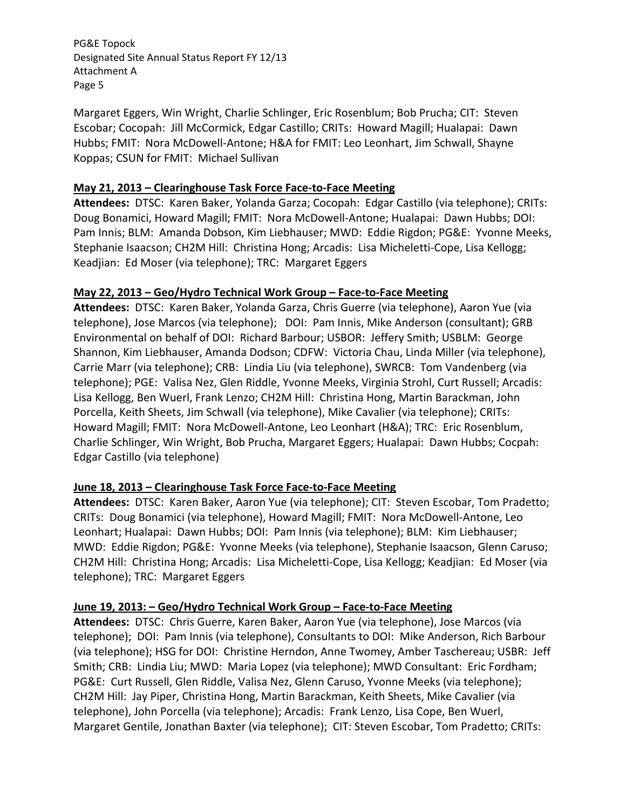Margaret Eggers, Win Wright, Charlie Schlinger, Eric Rosenblum; Bob Prucha; CIT: Steven Escobar; Cocopah: Jill McCormick, Edgar Castillo; CRITs: Howard Magill; Hualapai: Dawn Hubbs; FMIT: Nora McDowell‐Antone; H&A for FMIT: Leo Leonhart, Jim Schwall, Shayne Koppas; CSUN for FMIT: Michael Sullivan

# **May 21, 2013 – Clearinghouse Task Force Face‐to‐Face Meeting**

**Attendees:** DTSC: Karen Baker, Yolanda Garza; Cocopah: Edgar Castillo (via telephone); CRITs: Doug Bonamici, Howard Magill; FMIT: Nora McDowell‐Antone; Hualapai: Dawn Hubbs; DOI: Pam Innis; BLM: Amanda Dobson, Kim Liebhauser; MWD: Eddie Rigdon; PG&E: Yvonne Meeks, Stephanie Isaacson; CH2M Hill: Christina Hong; Arcadis: Lisa Micheletti‐Cope, Lisa Kellogg; Keadjian: Ed Moser (via telephone); TRC: Margaret Eggers

# **May 22, 2013 – Geo/Hydro Technical Work Group – Face‐to‐Face Meeting**

**Attendees:** DTSC: Karen Baker, Yolanda Garza, Chris Guerre (via telephone), Aaron Yue (via telephone), Jose Marcos (via telephone); DOI: Pam Innis, Mike Anderson (consultant); GRB Environmental on behalf of DOI: Richard Barbour; USBOR: Jeffery Smith; USBLM: George Shannon, Kim Liebhauser, Amanda Dodson; CDFW: Victoria Chau, Linda Miller (via telephone), Carrie Marr (via telephone); CRB: Lindia Liu (via telephone), SWRCB: Tom Vandenberg (via telephone); PGE: Valisa Nez, Glen Riddle, Yvonne Meeks, Virginia Strohl, Curt Russell; Arcadis: Lisa Kellogg, Ben Wuerl, Frank Lenzo; CH2M Hill: Christina Hong, Martin Barackman, John Porcella, Keith Sheets, Jim Schwall (via telephone), Mike Cavalier (via telephone); CRITs: Howard Magill; FMIT: Nora McDowell‐Antone, Leo Leonhart (H&A); TRC: Eric Rosenblum, Charlie Schlinger, Win Wright, Bob Prucha, Margaret Eggers; Hualapai: Dawn Hubbs; Cocpah: Edgar Castillo (via telephone)

# **June 18, 2013 – Clearinghouse Task Force Face‐to‐Face Meeting**

Attendees: DTSC: Karen Baker, Aaron Yue (via telephone); CIT: Steven Escobar, Tom Pradetto; CRITs: Doug Bonamici (via telephone), Howard Magill; FMIT: Nora McDowell‐Antone, Leo Leonhart; Hualapai: Dawn Hubbs; DOI: Pam Innis (via telephone); BLM: Kim Liebhauser; MWD: Eddie Rigdon; PG&E: Yvonne Meeks (via telephone), Stephanie Isaacson, Glenn Caruso; CH2M Hill: Christina Hong; Arcadis: Lisa Micheletti‐Cope, Lisa Kellogg; Keadjian: Ed Moser (via telephone); TRC: Margaret Eggers

# **June 19, 2013: – Geo/Hydro Technical Work Group – Face‐to‐Face Meeting**

**Attendees:** DTSC: Chris Guerre, Karen Baker, Aaron Yue (via telephone), Jose Marcos (via telephone); DOI: Pam Innis (via telephone), Consultants to DOI: Mike Anderson, Rich Barbour (via telephone); HSG for DOI: Christine Herndon, Anne Twomey, Amber Taschereau; USBR: Jeff Smith; CRB: Lindia Liu; MWD: Maria Lopez (via telephone); MWD Consultant: Eric Fordham; PG&E: Curt Russell, Glen Riddle, Valisa Nez, Glenn Caruso, Yvonne Meeks (via telephone); CH2M Hill: Jay Piper, Christina Hong, Martin Barackman, Keith Sheets, Mike Cavalier (via telephone), John Porcella (via telephone); Arcadis: Frank Lenzo, Lisa Cope, Ben Wuerl, Margaret Gentile, Jonathan Baxter (via telephone); CIT: Steven Escobar, Tom Pradetto; CRITs: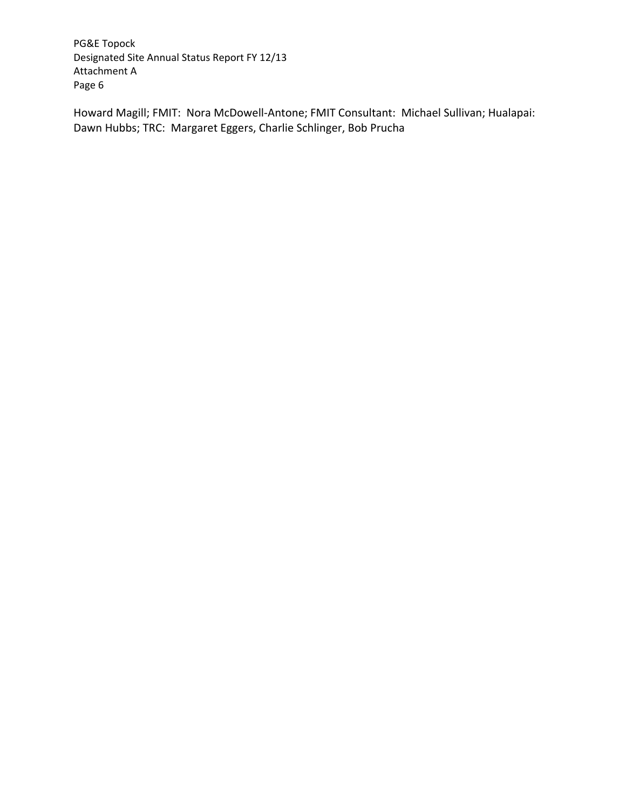Howard Magill; FMIT: Nora McDowell‐Antone; FMIT Consultant: Michael Sullivan; Hualapai: Dawn Hubbs; TRC: Margaret Eggers, Charlie Schlinger, Bob Prucha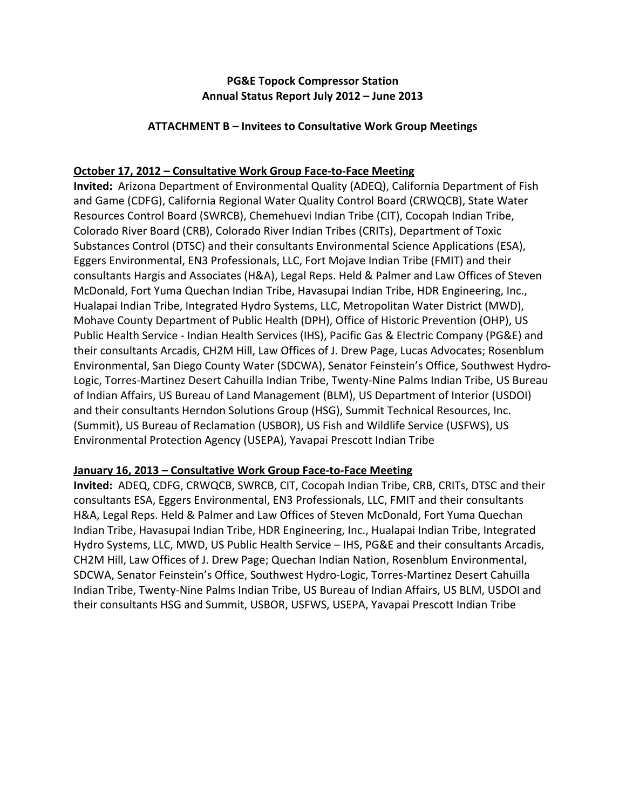# **PG&E Topock Compressor Station Annual Status Report July 2012 – June 2013**

### **ATTACHMENT B – Invitees to Consultative Work Group Meetings**

## **October 17, 2012 – Consultative Work Group Face‐to‐Face Meeting**

**Invited:** Arizona Department of Environmental Quality (ADEQ), California Department of Fish and Game (CDFG), California Regional Water Quality Control Board (CRWQCB), State Water Resources Control Board (SWRCB), Chemehuevi Indian Tribe (CIT), Cocopah Indian Tribe, Colorado River Board (CRB), Colorado River Indian Tribes (CRITs), Department of Toxic Substances Control (DTSC) and their consultants Environmental Science Applications (ESA), Eggers Environmental, EN3 Professionals, LLC, Fort Mojave Indian Tribe (FMIT) and their consultants Hargis and Associates (H&A), Legal Reps. Held & Palmer and Law Offices of Steven McDonald, Fort Yuma Quechan Indian Tribe, Havasupai Indian Tribe, HDR Engineering, Inc., Hualapai Indian Tribe, Integrated Hydro Systems, LLC, Metropolitan Water District (MWD), Mohave County Department of Public Health (DPH), Office of Historic Prevention (OHP), US Public Health Service ‐ Indian Health Services (IHS), Pacific Gas & Electric Company (PG&E) and their consultants Arcadis, CH2M Hill, Law Offices of J. Drew Page, Lucas Advocates; Rosenblum Environmental, San Diego County Water (SDCWA), Senator Feinstein's Office, Southwest Hydro‐ Logic, Torres‐Martinez Desert Cahuilla Indian Tribe, Twenty‐Nine Palms Indian Tribe, US Bureau of Indian Affairs, US Bureau of Land Management (BLM), US Department of Interior (USDOI) and their consultants Herndon Solutions Group (HSG), Summit Technical Resources, Inc. (Summit), US Bureau of Reclamation (USBOR), US Fish and Wildlife Service (USFWS), US Environmental Protection Agency (USEPA), Yavapai Prescott Indian Tribe

#### **January 16, 2013 – Consultative Work Group Face‐to‐Face Meeting**

**Invited:** ADEQ, CDFG, CRWQCB, SWRCB, CIT, Cocopah Indian Tribe, CRB, CRITs, DTSC and their consultants ESA, Eggers Environmental, EN3 Professionals, LLC, FMIT and their consultants H&A, Legal Reps. Held & Palmer and Law Offices of Steven McDonald, Fort Yuma Quechan Indian Tribe, Havasupai Indian Tribe, HDR Engineering, Inc., Hualapai Indian Tribe, Integrated Hydro Systems, LLC, MWD, US Public Health Service – IHS, PG&E and their consultants Arcadis, CH2M Hill, Law Offices of J. Drew Page; Quechan Indian Nation, Rosenblum Environmental, SDCWA, Senator Feinstein's Office, Southwest Hydro‐Logic, Torres‐Martinez Desert Cahuilla Indian Tribe, Twenty‐Nine Palms Indian Tribe, US Bureau of Indian Affairs, US BLM, USDOI and their consultants HSG and Summit, USBOR, USFWS, USEPA, Yavapai Prescott Indian Tribe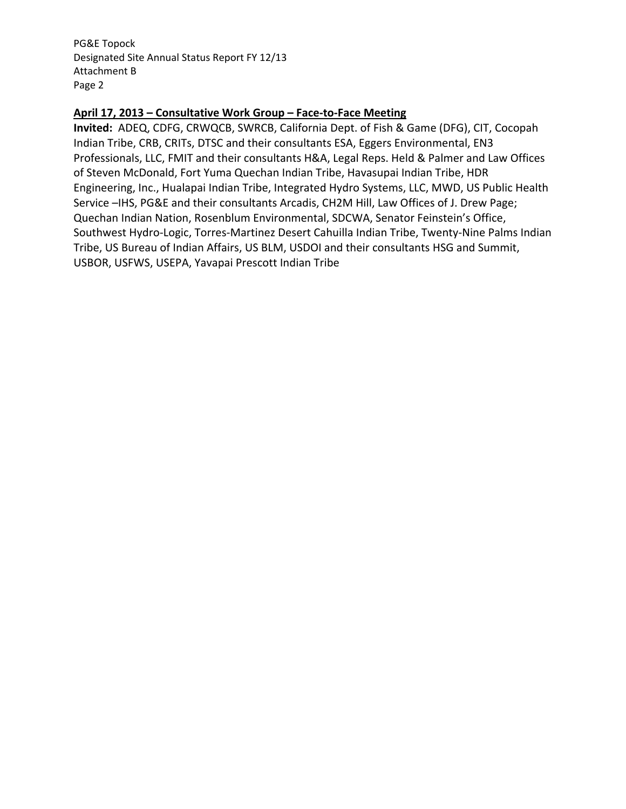#### **April 17, 2013 – Consultative Work Group – Face‐to‐Face Meeting**

**Invited:** ADEQ, CDFG, CRWQCB, SWRCB, California Dept. of Fish & Game (DFG), CIT, Cocopah Indian Tribe, CRB, CRITs, DTSC and their consultants ESA, Eggers Environmental, EN3 Professionals, LLC, FMIT and their consultants H&A, Legal Reps. Held & Palmer and Law Offices of Steven McDonald, Fort Yuma Quechan Indian Tribe, Havasupai Indian Tribe, HDR Engineering, Inc., Hualapai Indian Tribe, Integrated Hydro Systems, LLC, MWD, US Public Health Service –IHS, PG&E and their consultants Arcadis, CH2M Hill, Law Offices of J. Drew Page; Quechan Indian Nation, Rosenblum Environmental, SDCWA, Senator Feinstein's Office, Southwest Hydro‐Logic, Torres‐Martinez Desert Cahuilla Indian Tribe, Twenty‐Nine Palms Indian Tribe, US Bureau of Indian Affairs, US BLM, USDOI and their consultants HSG and Summit, USBOR, USFWS, USEPA, Yavapai Prescott Indian Tribe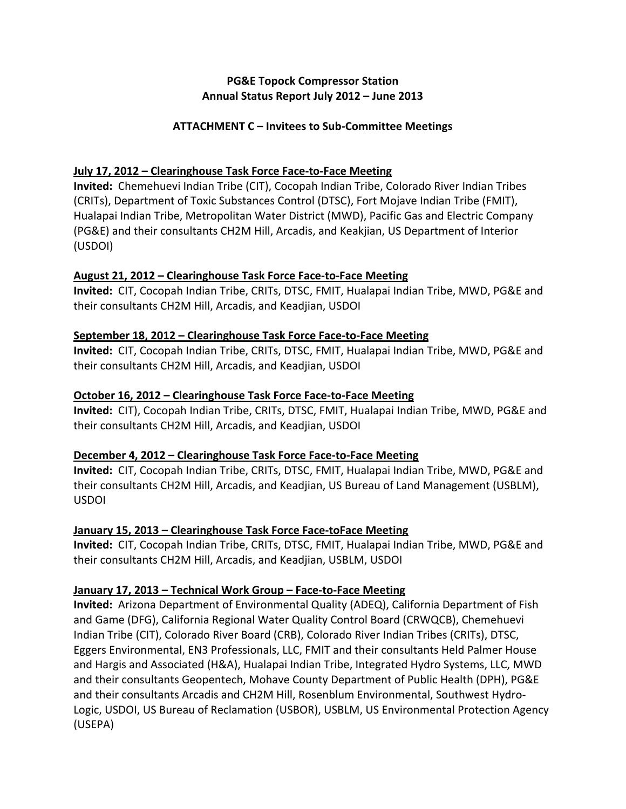# **PG&E Topock Compressor Station Annual Status Report July 2012 – June 2013**

# **ATTACHMENT C – Invitees to Sub‐Committee Meetings**

## **July 17, 2012 – Clearinghouse Task Force Face‐to‐Face Meeting**

**Invited:** Chemehuevi Indian Tribe (CIT), Cocopah Indian Tribe, Colorado River Indian Tribes (CRITs), Department of Toxic Substances Control (DTSC), Fort Mojave Indian Tribe (FMIT), Hualapai Indian Tribe, Metropolitan Water District (MWD), Pacific Gas and Electric Company (PG&E) and their consultants CH2M Hill, Arcadis, and Keakjian, US Department of Interior (USDOI)

#### **August 21, 2012 – Clearinghouse Task Force Face‐to‐Face Meeting**

**Invited:** CIT, Cocopah Indian Tribe, CRITs, DTSC, FMIT, Hualapai Indian Tribe, MWD, PG&E and their consultants CH2M Hill, Arcadis, and Keadjian, USDOI

## **September 18, 2012 – Clearinghouse Task Force Face‐to‐Face Meeting**

**Invited:** CIT, Cocopah Indian Tribe, CRITs, DTSC, FMIT, Hualapai Indian Tribe, MWD, PG&E and their consultants CH2M Hill, Arcadis, and Keadjian, USDOI

## **October 16, 2012 – Clearinghouse Task Force Face‐to‐Face Meeting**

**Invited:** CIT), Cocopah Indian Tribe, CRITs, DTSC, FMIT, Hualapai Indian Tribe, MWD, PG&E and their consultants CH2M Hill, Arcadis, and Keadjian, USDOI

# **December 4, 2012 – Clearinghouse Task Force Face‐to‐Face Meeting**

**Invited:** CIT, Cocopah Indian Tribe, CRITs, DTSC, FMIT, Hualapai Indian Tribe, MWD, PG&E and their consultants CH2M Hill, Arcadis, and Keadjian, US Bureau of Land Management (USBLM), USDOI

# **January 15, 2013 – Clearinghouse Task Force Face‐toFace Meeting**

**Invited:** CIT, Cocopah Indian Tribe, CRITs, DTSC, FMIT, Hualapai Indian Tribe, MWD, PG&E and their consultants CH2M Hill, Arcadis, and Keadjian, USBLM, USDOI

# **January 17, 2013 – Technical Work Group – Face‐to‐Face Meeting**

**Invited:** Arizona Department of Environmental Quality (ADEQ), California Department of Fish and Game (DFG), California Regional Water Quality Control Board (CRWQCB), Chemehuevi Indian Tribe (CIT), Colorado River Board (CRB), Colorado River Indian Tribes (CRITs), DTSC, Eggers Environmental, EN3 Professionals, LLC, FMIT and their consultants Held Palmer House and Hargis and Associated (H&A), Hualapai Indian Tribe, Integrated Hydro Systems, LLC, MWD and their consultants Geopentech, Mohave County Department of Public Health (DPH), PG&E and their consultants Arcadis and CH2M Hill, Rosenblum Environmental, Southwest Hydro-Logic, USDOI, US Bureau of Reclamation (USBOR), USBLM, US Environmental Protection Agency (USEPA)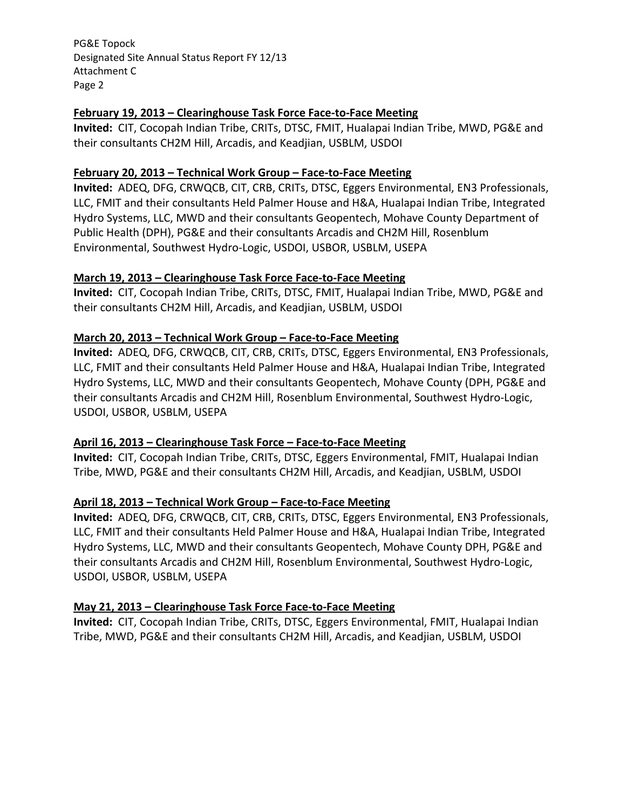### **February 19, 2013 – Clearinghouse Task Force Face‐to‐Face Meeting**

**Invited:** CIT, Cocopah Indian Tribe, CRITs, DTSC, FMIT, Hualapai Indian Tribe, MWD, PG&E and their consultants CH2M Hill, Arcadis, and Keadjian, USBLM, USDOI

## **February 20, 2013 – Technical Work Group – Face‐to‐Face Meeting**

**Invited:** ADEQ, DFG, CRWQCB, CIT, CRB, CRITs, DTSC, Eggers Environmental, EN3 Professionals, LLC, FMIT and their consultants Held Palmer House and H&A, Hualapai Indian Tribe, Integrated Hydro Systems, LLC, MWD and their consultants Geopentech, Mohave County Department of Public Health (DPH), PG&E and their consultants Arcadis and CH2M Hill, Rosenblum Environmental, Southwest Hydro‐Logic, USDOI, USBOR, USBLM, USEPA

## **March 19, 2013 – Clearinghouse Task Force Face‐to‐Face Meeting**

**Invited:** CIT, Cocopah Indian Tribe, CRITs, DTSC, FMIT, Hualapai Indian Tribe, MWD, PG&E and their consultants CH2M Hill, Arcadis, and Keadjian, USBLM, USDOI

# **March 20, 2013 – Technical Work Group – Face‐to‐Face Meeting**

**Invited:** ADEQ, DFG, CRWQCB, CIT, CRB, CRITs, DTSC, Eggers Environmental, EN3 Professionals, LLC, FMIT and their consultants Held Palmer House and H&A, Hualapai Indian Tribe, Integrated Hydro Systems, LLC, MWD and their consultants Geopentech, Mohave County (DPH, PG&E and their consultants Arcadis and CH2M Hill, Rosenblum Environmental, Southwest Hydro‐Logic, USDOI, USBOR, USBLM, USEPA

# **April 16, 2013 – Clearinghouse Task Force – Face‐to‐Face Meeting**

**Invited:** CIT, Cocopah Indian Tribe, CRITs, DTSC, Eggers Environmental, FMIT, Hualapai Indian Tribe, MWD, PG&E and their consultants CH2M Hill, Arcadis, and Keadjian, USBLM, USDOI

# **April 18, 2013 – Technical Work Group – Face‐to‐Face Meeting**

**Invited:** ADEQ, DFG, CRWQCB, CIT, CRB, CRITs, DTSC, Eggers Environmental, EN3 Professionals, LLC, FMIT and their consultants Held Palmer House and H&A, Hualapai Indian Tribe, Integrated Hydro Systems, LLC, MWD and their consultants Geopentech, Mohave County DPH, PG&E and their consultants Arcadis and CH2M Hill, Rosenblum Environmental, Southwest Hydro‐Logic, USDOI, USBOR, USBLM, USEPA

# **May 21, 2013 – Clearinghouse Task Force Face‐to‐Face Meeting**

**Invited:** CIT, Cocopah Indian Tribe, CRITs, DTSC, Eggers Environmental, FMIT, Hualapai Indian Tribe, MWD, PG&E and their consultants CH2M Hill, Arcadis, and Keadjian, USBLM, USDOI